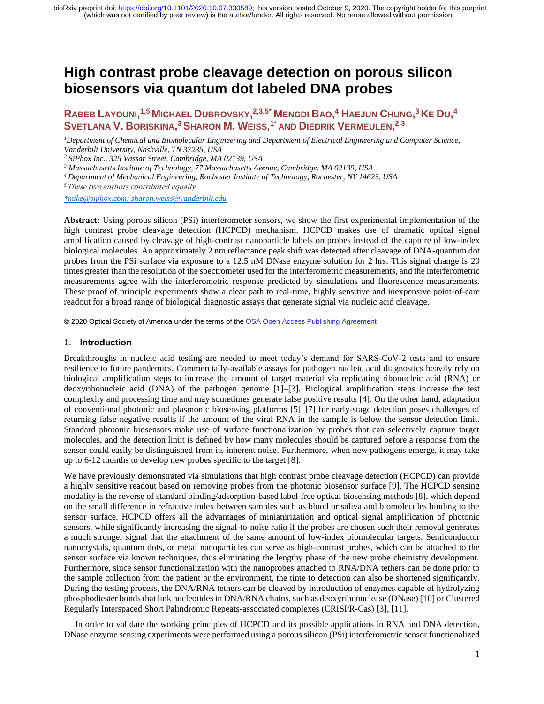# **High contrast probe cleavage detection on porous silicon biosensors via quantum dot labeled DNA probes**

# RABEB LAYOUNI,<sup>1,5</sup> MICHAEL DUBROVSKY,<sup>2,3,5\*</sup> MENGDI BAO,<sup>4</sup> HAEJUN CHUNG,<sup>3</sup> KE DU,<sup>4</sup> **SVETLANA V. BORISKINA, <sup>3</sup>SHARON M. WEISS, 1\* AND DIEDRIK VERMEULEN, 2,3**

*<sup>1</sup>Department of Chemical and Biomolecular Engineering and Department of Electrical Engineering and Computer Science, Vanderbilt University, Nashville, TN 37235, USA*

*<sup>2</sup> SiPhox Inc., 325 Vassar Street, Cambridge, MA 02139, USA*

*<sup>3</sup> Massachusetts Institute of Technology, 77 Massachusetts Avenue, Cambridge, MA 02139, USA*

*<sup>4</sup>Department of Mechanical Engineering, Rochester Institute of Technology, Rochester, NY 14623, USA*

*<sup>5</sup>*These two authors contributed equally

*[\\*mike@siphox.com;](mailto:*mike@siphox.com) sharon.weiss@vanderbilt.edu*

**Abstract:** Using porous silicon (PSi) interferometer sensors, we show the first experimental implementation of the high contrast probe cleavage detection (HCPCD) mechanism. HCPCD makes use of dramatic optical signal amplification caused by cleavage of high-contrast nanoparticle labels on probes instead of the capture of low-index biological molecules. An approximately 2 nm reflectance peak shift was detected after cleavage of DNA-quantum dot probes from the PSi surface via exposure to a 12.5 nM DNase enzyme solution for 2 hrs. This signal change is 20 times greater than the resolution of the spectrometer used for the interferometric measurements, and the interferometric measurements agree with the interferometric response predicted by simulations and fluorescence measurements. These proof of principle experiments show a clear path to real-time, highly sensitive and inexpensive point-of-care readout for a broad range of biological diagnostic assays that generate signal via nucleic acid cleavage.

© 2020 Optical Society of America under the terms of th[e OSA Open Access Publishing Agreement](https://doi.org/10.1364/OA_License_v1)

#### 1. **Introduction**

Breakthroughs in nucleic acid testing are needed to meet today's demand for SARS-CoV-2 tests and to ensure resilience to future pandemics. Commercially-available assays for pathogen nucleic acid diagnostics heavily rely on biological amplification steps to increase the amount of target material via replicating ribonucleic acid (RNA) or deoxyribonucleic acid (DNA) of the pathogen genome [1]–[3]. Biological amplification steps increase the test complexity and processing time and may sometimes generate false positive results [4]. On the other hand, adaptation of conventional photonic and plasmonic biosensing platforms [5]–[7] for early-stage detection poses challenges of returning false negative results if the amount of the viral RNA in the sample is below the sensor detection limit. Standard photonic biosensors make use of surface functionalization by probes that can selectively capture target molecules, and the detection limit is defined by how many molecules should be captured before a response from the sensor could easily be distinguished from its inherent noise. Furthermore, when new pathogens emerge, it may take up to 6-12 months to develop new probes specific to the target [8].

We have previously demonstrated via simulations that high contrast probe cleavage detection (HCPCD) can provide a highly sensitive readout based on removing probes from the photonic biosensor surface [9]. The HCPCD sensing modality is the reverse of standard binding/adsorption-based label-free optical biosensing methods [8], which depend on the small difference in refractive index between samples such as blood or saliva and biomolecules binding to the sensor surface. HCPCD offers all the advantages of miniaturization and optical signal amplification of photonic sensors, while significantly increasing the signal-to-noise ratio if the probes are chosen such their removal generates a much stronger signal that the attachment of the same amount of low-index biomolecular targets. Semiconductor nanocrystals, quantum dots, or metal nanoparticles can serve as high-contrast probes, which can be attached to the sensor surface via known techniques, thus eliminating the lengthy phase of the new probe chemistry development. Furthermore, since sensor functionalization with the nanoprobes attached to RNA/DNA tethers can be done prior to the sample collection from the patient or the environment, the time to detection can also be shortened significantly. During the testing process, the DNA/RNA tethers can be cleaved by introduction of enzymes capable of hydrolyzing phosphodiester bonds that link nucleotides in DNA/RNA chains, such as deoxyribonuclease (DNase) [10] or Clustered Regularly Interspaced Short Palindromic Repeats-associated complexes (CRISPR-Cas) [3], [11].

 In order to validate the working principles of HCPCD and its possible applications in RNA and DNA detection, DNase enzyme sensing experiments were performed using a porous silicon (PSi) interferometric sensor functionalized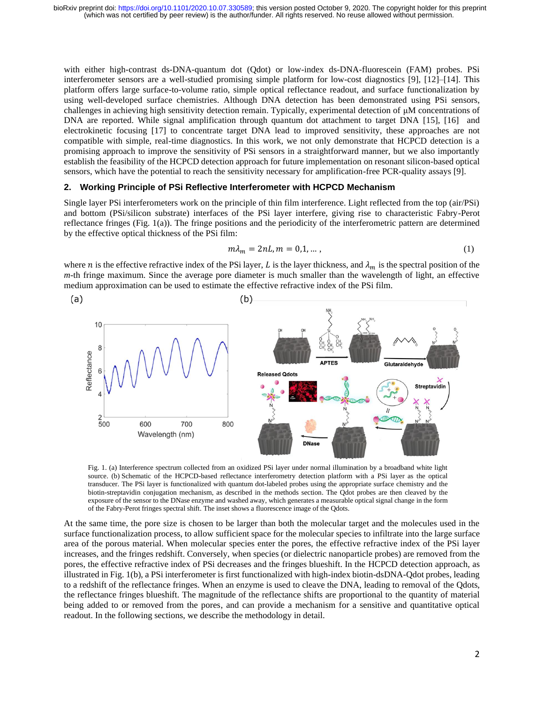with either high-contrast ds-DNA-quantum dot (Qdot) or low-index ds-DNA-fluorescein (FAM) probes. PSi interferometer sensors are a well-studied promising simple platform for low-cost diagnostics [9], [12]–[14]. This platform offers large surface-to-volume ratio, simple optical reflectance readout, and surface functionalization by using well-developed surface chemistries. Although DNA detection has been demonstrated using PSi sensors, challenges in achieving high sensitivity detection remain. Typically, experimental detection of μM concentrations of DNA are reported. While signal amplification through quantum dot attachment to target DNA [15], [16] and electrokinetic focusing [17] to concentrate target DNA lead to improved sensitivity, these approaches are not compatible with simple, real-time diagnostics. In this work, we not only demonstrate that HCPCD detection is a promising approach to improve the sensitivity of PSi sensors in a straightforward manner, but we also importantly establish the feasibility of the HCPCD detection approach for future implementation on resonant silicon-based optical sensors, which have the potential to reach the sensitivity necessary for amplification-free PCR-quality assays [9].

#### **2. Working Principle of PSi Reflective Interferometer with HCPCD Mechanism**

Single layer PSi interferometers work on the principle of thin film interference. Light reflected from the top (air/PSi) and bottom (PSi/silicon substrate) interfaces of the PSi layer interfere, giving rise to characteristic Fabry-Perot reflectance fringes (Fig. 1(a)). The fringe positions and the periodicity of the interferometric pattern are determined by the effective optical thickness of the PSi film:

$$
m\lambda_m = 2nL, m = 0, 1, \dots,
$$
\n<sup>(1)</sup>

where *n* is the effective refractive index of the PSi layer, L is the layer thickness, and  $\lambda_m$  is the spectral position of the *m*-th fringe maximum. Since the average pore diameter is much smaller than the wavelength of light, an effective medium approximation can be used to estimate the effective refractive index of the PSi film.



Fig. 1. (a) Interference spectrum collected from an oxidized PSi layer under normal illumination by a broadband white light source. (b) Schematic of the HCPCD-based reflectance interferometry detection platform with a PSi layer as the optical transducer. The PSi layer is functionalized with quantum dot-labeled probes using the appropriate surface chemistry and the biotin-streptavidin conjugation mechanism, as described in the methods section. The Qdot probes are then cleaved by the exposure of the sensor to the DNase enzyme and washed away, which generates a measurable optical signal change in the form of the Fabry-Perot fringes spectral shift. The inset shows a fluorescence image of the Qdots.

At the same time, the pore size is chosen to be larger than both the molecular target and the molecules used in the surface functionalization process, to allow sufficient space for the molecular species to infiltrate into the large surface area of the porous material. When molecular species enter the pores, the effective refractive index of the PSi layer increases, and the fringes redshift. Conversely, when species (or dielectric nanoparticle probes) are removed from the pores, the effective refractive index of PSi decreases and the fringes blueshift. In the HCPCD detection approach, as illustrated in Fig. 1(b), a PSi interferometer is first functionalized with high-index biotin-dsDNA-Qdot probes, leading to a redshift of the reflectance fringes. When an enzyme is used to cleave the DNA, leading to removal of the Qdots, the reflectance fringes blueshift. The magnitude of the reflectance shifts are proportional to the quantity of material being added to or removed from the pores, and can provide a mechanism for a sensitive and quantitative optical readout. In the following sections, we describe the methodology in detail.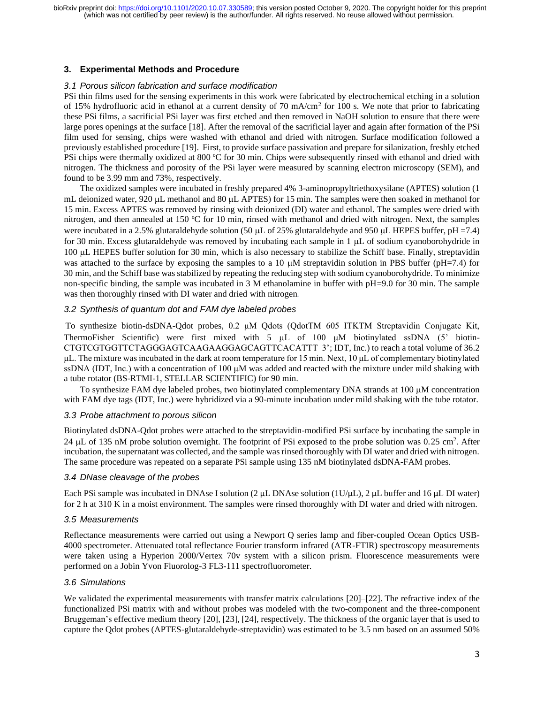# **3. Experimental Methods and Procedure**

#### *3.1 Porous silicon fabrication and surface modification*

PSi thin films used for the sensing experiments in this work were fabricated by electrochemical etching in a solution of 15% hydrofluoric acid in ethanol at a current density of 70 mA/cm<sup>2</sup> for 100 s. We note that prior to fabricating these PSi films, a sacrificial PSi layer was first etched and then removed in NaOH solution to ensure that there were large pores openings at the surface [18]. After the removal of the sacrificial layer and again after formation of the PSi film used for sensing, chips were washed with ethanol and dried with nitrogen. Surface modification followed a previously established procedure [19]. First, to provide surface passivation and prepare for silanization, freshly etched PSi chips were thermally oxidized at 800 ºC for 30 min. Chips were subsequently rinsed with ethanol and dried with nitrogen. The thickness and porosity of the PSi layer were measured by scanning electron microscopy (SEM), and found to be 3.99 mm and 73%, respectively.

The oxidized samples were incubated in freshly prepared 4% 3-aminopropyltriethoxysilane (APTES) solution (1 mL deionized water, 920  $\mu$ L methanol and 80  $\mu$ L APTES) for 15 min. The samples were then soaked in methanol for 15 min. Excess APTES was removed by rinsing with deionized (DI) water and ethanol. The samples were dried with nitrogen, and then annealed at 150 ºC for 10 min, rinsed with methanol and dried with nitrogen. Next, the samples were incubated in a 2.5% glutaraldehyde solution (50  $\mu$ L of 25% glutaraldehyde and 950  $\mu$ L HEPES buffer, pH =7.4) for 30 min. Excess glutaraldehyde was removed by incubating each sample in  $1 \mu$ L of sodium cyanoborohydride in 100 µL HEPES buffer solution for 30 min, which is also necessary to stabilize the Schiff base. Finally, streptavidin was attached to the surface by exposing the samples to a 10  $\mu$ M streptavidin solution in PBS buffer (pH=7.4) for 30 min, and the Schiff base was stabilized by repeating the reducing step with sodium cyanoborohydride. To minimize non-specific binding, the sample was incubated in 3 M ethanolamine in buffer with pH=9.0 for 30 min. The sample was then thoroughly rinsed with DI water and dried with nitrogen*.*

## *3.2 Synthesis of quantum dot and FAM dye labeled probes*

To synthesize biotin-dsDNA-Qdot probes, 0.2 μM Qdots (QdotTM 605 ITKTM Streptavidin Conjugate Kit, ThermoFisher Scientific) were first mixed with 5  $\mu$ L of 100  $\mu$ M biotinylated ssDNA (5' biotin-CTGTCGTGGTTCTAGGGAGTCAAGAAGGAGCAGTTCACATTT 3'; IDT, Inc.) to reach a total volume of 36.2 μL. The mixture was incubated in the dark at room temperature for 15 min. Next, 10 μL of complementary biotinylated ssDNA (IDT, Inc.) with a concentration of 100 μM was added and reacted with the mixture under mild shaking with a tube rotator (BS-RTMI-1, STELLAR SCIENTIFIC) for 90 min.

To synthesize FAM dye labeled probes, two biotinylated complementary DNA strands at  $100 \mu M$  concentration with FAM dye tags (IDT, Inc.) were hybridized via a 90-minute incubation under mild shaking with the tube rotator.

#### *3.3 Probe attachment to porous silicon*

Biotinylated dsDNA-Qdot probes were attached to the streptavidin-modified PSi surface by incubating the sample in 24  $\mu$ L of 135 nM probe solution overnight. The footprint of PSi exposed to the probe solution was 0.25 cm<sup>2</sup>. After incubation, the supernatant was collected, and the sample was rinsed thoroughly with DI water and dried with nitrogen. The same procedure was repeated on a separate PSi sample using 135 nM biotinylated dsDNA-FAM probes.

#### *3.4 DNase cleavage of the probes*

Each PSi sample was incubated in DNAse I solution (2 μL DNAse solution (1U/μL), 2 μL buffer and 16 μL DI water) for 2 h at 310 K in a moist environment. The samples were rinsed thoroughly with DI water and dried with nitrogen.

#### *3.5 Measurements*

Reflectance measurements were carried out using a Newport Q series lamp and fiber-coupled Ocean Optics USB-4000 spectrometer. Attenuated total reflectance Fourier transform infrared (ATR-FTIR) spectroscopy measurements were taken using a Hyperion 2000/Vertex 70v system with a silicon prism. Fluorescence measurements were performed on a Jobin Yvon Fluorolog-3 FL3-111 spectrofluorometer.

# *3.6 Simulations*

We validated the experimental measurements with transfer matrix calculations [20]–[22]. The refractive index of the functionalized PSi matrix with and without probes was modeled with the two-component and the three-component Bruggeman's effective medium theory [20], [23], [24], respectively. The thickness of the organic layer that is used to capture the Qdot probes (APTES-glutaraldehyde-streptavidin) was estimated to be 3.5 nm based on an assumed 50%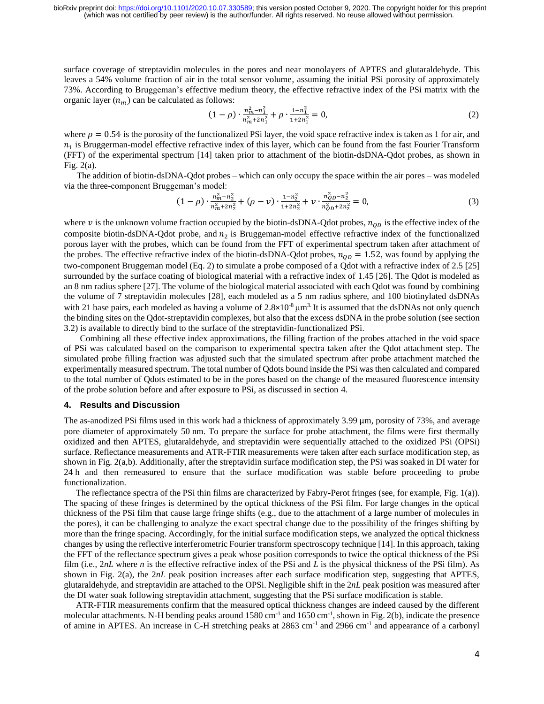surface coverage of streptavidin molecules in the pores and near monolayers of APTES and glutaraldehyde. This leaves a 54% volume fraction of air in the total sensor volume, assuming the initial PSi porosity of approximately 73%. According to Bruggeman's effective medium theory, the effective refractive index of the PSi matrix with the organic layer  $(n_m)$  can be calculated as follows:

$$
(1 - \rho) \cdot \frac{n_m^2 - n_1^2}{n_m^2 + 2n_1^2} + \rho \cdot \frac{1 - n_1^2}{1 + 2n_1^2} = 0, \tag{2}
$$

where  $\rho = 0.54$  is the porosity of the functionalized PSi layer, the void space refractive index is taken as 1 for air, and  $n_1$  is Bruggerman-model effective refractive index of this layer, which can be found from the fast Fourier Transform (FFT) of the experimental spectrum [14] taken prior to attachment of the biotin-dsDNA-Qdot probes, as shown in Fig. 2(a).

The addition of biotin-dsDNA-Qdot probes – which can only occupy the space within the air pores – was modeled via the three-component Bruggeman's model:

$$
(1 - \rho) \cdot \frac{n_m^2 - n_2^2}{n_m^2 + 2n_2^2} + (\rho - \nu) \cdot \frac{1 - n_2^2}{1 + 2n_2^2} + \nu \cdot \frac{n_0^2 - n_2^2}{n_0^2 - 2n_2^2} = 0,
$$
\n(3)

where  $\nu$  is the unknown volume fraction occupied by the biotin-dsDNA-Qdot probes,  $n_{OD}$  is the effective index of the composite biotin-dsDNA-Qdot probe, and  $n_2$  is Bruggeman-model effective refractive index of the functionalized porous layer with the probes, which can be found from the FFT of experimental spectrum taken after attachment of the probes. The effective refractive index of the biotin-dsDNA-Qdot probes,  $n_{OD} = 1.52$ , was found by applying the two-component Bruggeman model (Eq. 2) to simulate a probe composed of a Qdot with a refractive index of 2.5 [25] surrounded by the surface coating of biological material with a refractive index of 1.45 [26]. The Qdot is modeled as an 8 nm radius sphere [27]. The volume of the biological material associated with each Qdot was found by combining the volume of 7 streptavidin molecules [28], each modeled as a 5 nm radius sphere, and 100 biotinylated dsDNAs with 21 base pairs, each modeled as having a volume of  $2.8 \times 10^{-8}$  km<sup>3</sup>. It is assumed that the dsDNAs not only quench the binding sites on the Qdot-streptavidin complexes, but also that the excess dsDNA in the probe solution (see section 3.2) is available to directly bind to the surface of the streptavidin-functionalized PSi.

Combining all these effective index approximations, the filling fraction of the probes attached in the void space of PSi was calculated based on the comparison to experimental spectra taken after the Qdot attachment step. The simulated probe filling fraction was adjusted such that the simulated spectrum after probe attachment matched the experimentally measured spectrum. The total number of Qdots bound inside the PSi was then calculated and compared to the total number of Qdots estimated to be in the pores based on the change of the measured fluorescence intensity of the probe solution before and after exposure to PSi, as discussed in section 4.

#### **4. Results and Discussion**

The as-anodized PSi films used in this work had a thickness of approximately 3.99 μm, porosity of 73%, and average pore diameter of approximately 50 nm. To prepare the surface for probe attachment, the films were first thermally oxidized and then APTES, glutaraldehyde, and streptavidin were sequentially attached to the oxidized PSi (OPSi) surface. Reflectance measurements and ATR-FTIR measurements were taken after each surface modification step, as shown in Fig. 2(a,b). Additionally, after the streptavidin surface modification step, the PSi was soaked in DI water for 24 h and then remeasured to ensure that the surface modification was stable before proceeding to probe functionalization.

The reflectance spectra of the PSi thin films are characterized by Fabry-Perot fringes (see, for example, Fig. 1(a)). The spacing of these fringes is determined by the optical thickness of the PSi film. For large changes in the optical thickness of the PSi film that cause large fringe shifts (e.g., due to the attachment of a large number of molecules in the pores), it can be challenging to analyze the exact spectral change due to the possibility of the fringes shifting by more than the fringe spacing. Accordingly, for the initial surface modification steps, we analyzed the optical thickness changes by using the reflective interferometric Fourier transform spectroscopy technique [14]. In this approach, taking the FFT of the reflectance spectrum gives a peak whose position corresponds to twice the optical thickness of the PSi film (i.e., 2*nL* where *n* is the effective refractive index of the PSi and *L* is the physical thickness of the PSi film). As shown in Fig. 2(a), the 2*nL* peak position increases after each surface modification step, suggesting that APTES, glutaraldehyde, and streptavidin are attached to the OPSi. Negligible shift in the 2*nL* peak position was measured after the DI water soak following streptavidin attachment, suggesting that the PSi surface modification is stable.

ATR-FTIR measurements confirm that the measured optical thickness changes are indeed caused by the different molecular attachments. N-H bending peaks around  $1580 \text{ cm}^{-1}$  and  $1650 \text{ cm}^{-1}$ , shown in Fig. 2(b), indicate the presence of amine in APTES. An increase in C-H stretching peaks at 2863 cm<sup>-1</sup> and 2966 cm<sup>-1</sup> and appearance of a carbonyl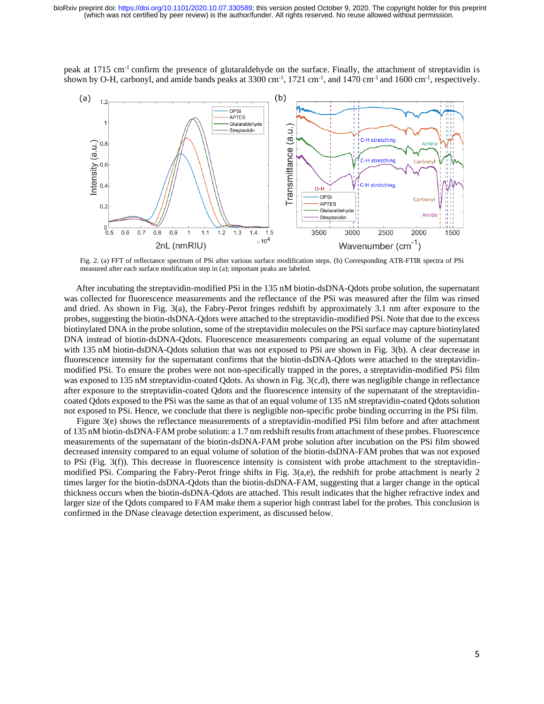peak at 1715 cm-1 confirm the presence of glutaraldehyde on the surface. Finally, the attachment of streptavidin is shown by O-H, carbonyl, and amide bands peaks at 3300 cm<sup>-1</sup>, 1721 cm<sup>-1</sup>, and 1470 cm<sup>-1</sup> and 1600 cm<sup>-1</sup>, respectively.



Fig. 2. (a) FFT of reflectance spectrum of PSi after various surface modification steps. (b) Corresponding ATR-FTIR spectra of PSi measured after each surface modification step in (a); important peaks are labeled.

After incubating the streptavidin-modified PSi in the 135 nM biotin-dsDNA-Qdots probe solution, the supernatant was collected for fluorescence measurements and the reflectance of the PSi was measured after the film was rinsed and dried. As shown in Fig. 3(a), the Fabry-Perot fringes redshift by approximately 3.1 nm after exposure to the probes, suggesting the biotin-dsDNA-Qdots were attached to the streptavidin-modified PSi. Note that due to the excess biotinylated DNA in the probe solution, some of the streptavidin molecules on the PSi surface may capture biotinylated DNA instead of biotin-dsDNA-Qdots. Fluorescence measurements comparing an equal volume of the supernatant with 135 nM biotin-dsDNA-Qdots solution that was not exposed to PSi are shown in Fig. 3(b). A clear decrease in fluorescence intensity for the supernatant confirms that the biotin-dsDNA-Qdots were attached to the streptavidinmodified PSi. To ensure the probes were not non-specifically trapped in the pores, a streptavidin-modified PSi film was exposed to 135 nM streptavidin-coated Qdots. As shown in Fig. 3(c,d), there was negligible change in reflectance after exposure to the streptavidin-coated Qdots and the fluorescence intensity of the supernatant of the streptavidincoated Qdots exposed to the PSi was the same as that of an equal volume of 135 nM streptavidin-coated Qdots solution not exposed to PSi. Hence, we conclude that there is negligible non-specific probe binding occurring in the PSi film.

Figure 3(e) shows the reflectance measurements of a streptavidin-modified PSi film before and after attachment of 135 nM biotin-dsDNA-FAM probe solution: a 1.7 nm redshift results from attachment of these probes. Fluorescence measurements of the supernatant of the biotin-dsDNA-FAM probe solution after incubation on the PSi film showed decreased intensity compared to an equal volume of solution of the biotin-dsDNA-FAM probes that was not exposed to PSi (Fig. 3(f)). This decrease in fluorescence intensity is consistent with probe attachment to the streptavidinmodified PSi. Comparing the Fabry-Perot fringe shifts in Fig. 3(a,e), the redshift for probe attachment is nearly 2 times larger for the biotin-dsDNA-Qdots than the biotin-dsDNA-FAM, suggesting that a larger change in the optical thickness occurs when the biotin-dsDNA-Qdots are attached. This result indicates that the higher refractive index and larger size of the Qdots compared to FAM make them a superior high contrast label for the probes. This conclusion is confirmed in the DNase cleavage detection experiment, as discussed below.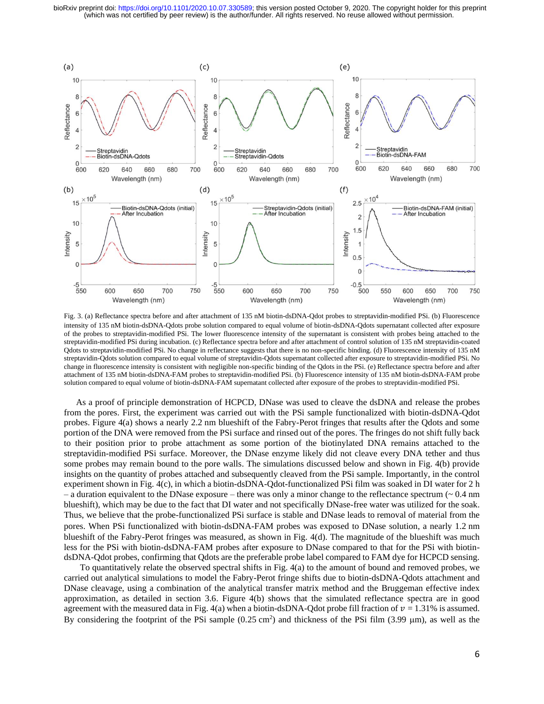

Fig. 3. (a) Reflectance spectra before and after attachment of 135 nM biotin-dsDNA-Qdot probes to streptavidin-modified PSi. (b) Fluorescence intensity of 135 nM biotin-dsDNA-Qdots probe solution compared to equal volume of biotin-dsDNA-Qdots supernatant collected after exposure of the probes to streptavidin-modified PSi. The lower fluorescence intensity of the supernatant is consistent with probes being attached to the streptavidin-modified PSi during incubation. (c) Reflectance spectra before and after attachment of control solution of 135 nM streptavidin-coated Qdots to streptavidin-modified PSi. No change in reflectance suggests that there is no non-specific binding. (d) Fluorescence intensity of 135 nM streptavidin-Qdots solution compared to equal volume of streptavidin-Qdots supernatant collected after exposure to streptavidin-modified PSi. No change in fluorescence intensity is consistent with negligible non-specific binding of the Qdots in the PSi. (e) Reflectance spectra before and after attachment of 135 nM biotin-dsDNA-FAM probes to streptavidin-modified PSi. (b) Fluorescence intensity of 135 nM biotin-dsDNA-FAM probe solution compared to equal volume of biotin-dsDNA-FAM supernatant collected after exposure of the probes to streptavidin-modified PSi.

As a proof of principle demonstration of HCPCD, DNase was used to cleave the dsDNA and release the probes from the pores. First, the experiment was carried out with the PSi sample functionalized with biotin-dsDNA-Qdot probes. Figure 4(a) shows a nearly 2.2 nm blueshift of the Fabry-Perot fringes that results after the Qdots and some portion of the DNA were removed from the PSi surface and rinsed out of the pores. The fringes do not shift fully back to their position prior to probe attachment as some portion of the biotinylated DNA remains attached to the streptavidin-modified PSi surface. Moreover, the DNase enzyme likely did not cleave every DNA tether and thus some probes may remain bound to the pore walls. The simulations discussed below and shown in Fig. 4(b) provide insights on the quantity of probes attached and subsequently cleaved from the PSi sample. Importantly, in the control experiment shown in Fig. 4(c), in which a biotin-dsDNA-Qdot-functionalized PSi film was soaked in DI water for 2 h – a duration equivalent to the DNase exposure – there was only a minor change to the reflectance spectrum  $($   $\sim$  0.4 nm blueshift), which may be due to the fact that DI water and not specifically DNase-free water was utilized for the soak. Thus, we believe that the probe-functionalized PSi surface is stable and DNase leads to removal of material from the pores. When PSi functionalized with biotin-dsDNA-FAM probes was exposed to DNase solution, a nearly 1.2 nm blueshift of the Fabry-Perot fringes was measured, as shown in Fig. 4(d). The magnitude of the blueshift was much less for the PSi with biotin-dsDNA-FAM probes after exposure to DNase compared to that for the PSi with biotindsDNA-Qdot probes, confirming that Qdots are the preferable probe label compared to FAM dye for HCPCD sensing.

To quantitatively relate the observed spectral shifts in Fig. 4(a) to the amount of bound and removed probes, we carried out analytical simulations to model the Fabry-Perot fringe shifts due to biotin-dsDNA-Qdots attachment and DNase cleavage, using a combination of the analytical transfer matrix method and the Bruggeman effective index approximation, as detailed in section 3.6. Figure 4(b) shows that the simulated reflectance spectra are in good agreement with the measured data in Fig. 4(a) when a biotin-dsDNA-Qdot probe fill fraction of  $v = 1.31\%$  is assumed. By considering the footprint of the PSi sample  $(0.25 \text{ cm}^2)$  and thickness of the PSi film  $(3.99 \mu \text{m})$ , as well as the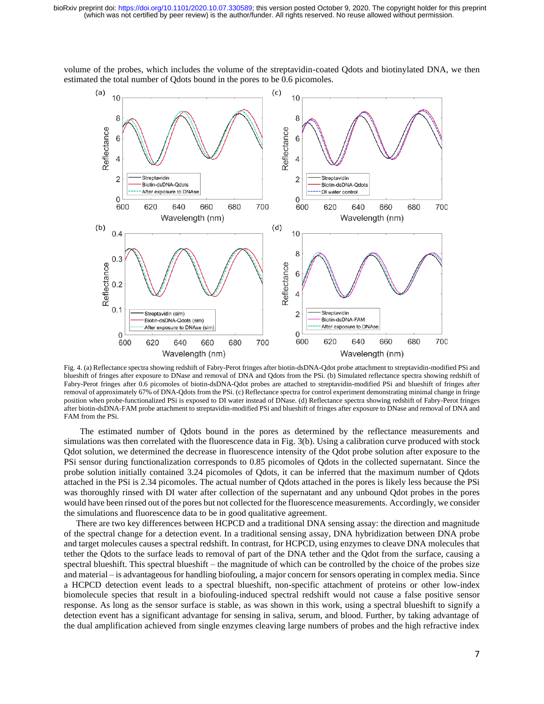

volume of the probes, which includes the volume of the streptavidin-coated Qdots and biotinylated DNA, we then estimated the total number of Qdots bound in the pores to be 0.6 picomoles.

Fig. 4. (a) Reflectance spectra showing redshift of Fabry-Perot fringes after biotin-dsDNA-Qdot probe attachment to streptavidin-modified PSi and blueshift of fringes after exposure to DNase and removal of DNA and Qdots from the PSi. (b) Simulated reflectance spectra showing redshift of Fabry-Perot fringes after 0.6 picomoles of biotin-dsDNA-Qdot probes are attached to streptavidin-modified PSi and blueshift of fringes after removal of approximately 67% of DNA-Qdots from the PSi. (c) Reflectance spectra for control experiment demonstrating minimal change in fringe position when probe-functionalized PSi is exposed to DI water instead of DNase. (d) Reflectance spectra showing redshift of Fabry-Perot fringes after biotin-dsDNA-FAM probe attachment to streptavidin-modified PSi and blueshift of fringes after exposure to DNase and removal of DNA and FAM from the PSi.

The estimated number of Qdots bound in the pores as determined by the reflectance measurements and simulations was then correlated with the fluorescence data in Fig. 3(b). Using a calibration curve produced with stock Qdot solution, we determined the decrease in fluorescence intensity of the Qdot probe solution after exposure to the PSi sensor during functionalization corresponds to 0.85 picomoles of Qdots in the collected supernatant. Since the probe solution initially contained 3.24 picomoles of Qdots, it can be inferred that the maximum number of Qdots attached in the PSi is 2.34 picomoles. The actual number of Qdots attached in the pores is likely less because the PSi was thoroughly rinsed with DI water after collection of the supernatant and any unbound Qdot probes in the pores would have been rinsed out of the pores but not collected for the fluorescence measurements. Accordingly, we consider the simulations and fluorescence data to be in good qualitative agreement.

There are two key differences between HCPCD and a traditional DNA sensing assay: the direction and magnitude of the spectral change for a detection event. In a traditional sensing assay, DNA hybridization between DNA probe and target molecules causes a spectral redshift. In contrast, for HCPCD, using enzymes to cleave DNA molecules that tether the Qdots to the surface leads to removal of part of the DNA tether and the Qdot from the surface, causing a spectral blueshift. This spectral blueshift – the magnitude of which can be controlled by the choice of the probes size and material – is advantageous for handling biofouling, a major concern for sensors operating in complex media. Since a HCPCD detection event leads to a spectral blueshift, non-specific attachment of proteins or other low-index biomolecule species that result in a biofouling-induced spectral redshift would not cause a false positive sensor response. As long as the sensor surface is stable, as was shown in this work, using a spectral blueshift to signify a detection event has a significant advantage for sensing in saliva, serum, and blood. Further, by taking advantage of the dual amplification achieved from single enzymes cleaving large numbers of probes and the high refractive index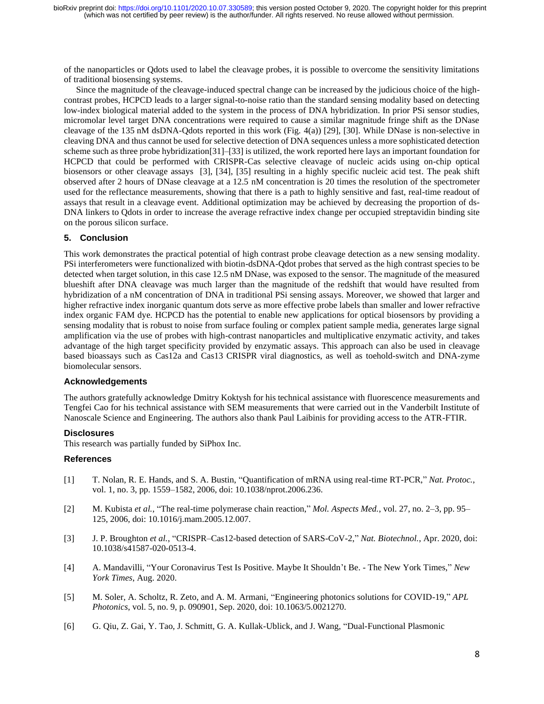of the nanoparticles or Qdots used to label the cleavage probes, it is possible to overcome the sensitivity limitations of traditional biosensing systems.

Since the magnitude of the cleavage-induced spectral change can be increased by the judicious choice of the highcontrast probes, HCPCD leads to a larger signal-to-noise ratio than the standard sensing modality based on detecting low-index biological material added to the system in the process of DNA hybridization. In prior PSi sensor studies, micromolar level target DNA concentrations were required to cause a similar magnitude fringe shift as the DNase cleavage of the 135 nM dsDNA-Qdots reported in this work (Fig. 4(a)) [29], [30]. While DNase is non-selective in cleaving DNA and thus cannot be used for selective detection of DNA sequences unless a more sophisticated detection scheme such as three probe hybridization[31]–[33] is utilized, the work reported here lays an important foundation for HCPCD that could be performed with CRISPR-Cas selective cleavage of nucleic acids using on-chip optical biosensors or other cleavage assays [3], [34], [35] resulting in a highly specific nucleic acid test. The peak shift observed after 2 hours of DNase cleavage at a 12.5 nM concentration is 20 times the resolution of the spectrometer used for the reflectance measurements, showing that there is a path to highly sensitive and fast, real-time readout of assays that result in a cleavage event. Additional optimization may be achieved by decreasing the proportion of ds-DNA linkers to Qdots in order to increase the average refractive index change per occupied streptavidin binding site on the porous silicon surface.

## **5. Conclusion**

This work demonstrates the practical potential of high contrast probe cleavage detection as a new sensing modality. PSi interferometers were functionalized with biotin-dsDNA-Qdot probes that served as the high contrast species to be detected when target solution, in this case 12.5 nM DNase, was exposed to the sensor. The magnitude of the measured blueshift after DNA cleavage was much larger than the magnitude of the redshift that would have resulted from hybridization of a nM concentration of DNA in traditional PSi sensing assays. Moreover, we showed that larger and higher refractive index inorganic quantum dots serve as more effective probe labels than smaller and lower refractive index organic FAM dye. HCPCD has the potential to enable new applications for optical biosensors by providing a sensing modality that is robust to noise from surface fouling or complex patient sample media, generates large signal amplification via the use of probes with high-contrast nanoparticles and multiplicative enzymatic activity, and takes advantage of the high target specificity provided by enzymatic assays. This approach can also be used in cleavage based bioassays such as Cas12a and Cas13 CRISPR viral diagnostics, as well as toehold-switch and DNA-zyme biomolecular sensors.

#### **Acknowledgements**

The authors gratefully acknowledge Dmitry Koktysh for his technical assistance with fluorescence measurements and Tengfei Cao for his technical assistance with SEM measurements that were carried out in the Vanderbilt Institute of Nanoscale Science and Engineering. The authors also thank Paul Laibinis for providing access to the ATR-FTIR.

#### **Disclosures**

This research was partially funded by SiPhox Inc.

#### **References**

- [1] T. Nolan, R. E. Hands, and S. A. Bustin, "Quantification of mRNA using real-time RT-PCR," *Nat. Protoc.*, vol. 1, no. 3, pp. 1559–1582, 2006, doi: 10.1038/nprot.2006.236.
- [2] M. Kubista *et al.*, "The real-time polymerase chain reaction," *Mol. Aspects Med.*, vol. 27, no. 2–3, pp. 95– 125, 2006, doi: 10.1016/j.mam.2005.12.007.
- [3] J. P. Broughton *et al.*, "CRISPR–Cas12-based detection of SARS-CoV-2," *Nat. Biotechnol.*, Apr. 2020, doi: 10.1038/s41587-020-0513-4.
- [4] A. Mandavilli, "Your Coronavirus Test Is Positive. Maybe It Shouldn't Be. The New York Times," *New York Times*, Aug. 2020.
- [5] M. Soler, A. Scholtz, R. Zeto, and A. M. Armani, "Engineering photonics solutions for COVID-19," *APL Photonics*, vol. 5, no. 9, p. 090901, Sep. 2020, doi: 10.1063/5.0021270.
- [6] G. Qiu, Z. Gai, Y. Tao, J. Schmitt, G. A. Kullak-Ublick, and J. Wang, "Dual-Functional Plasmonic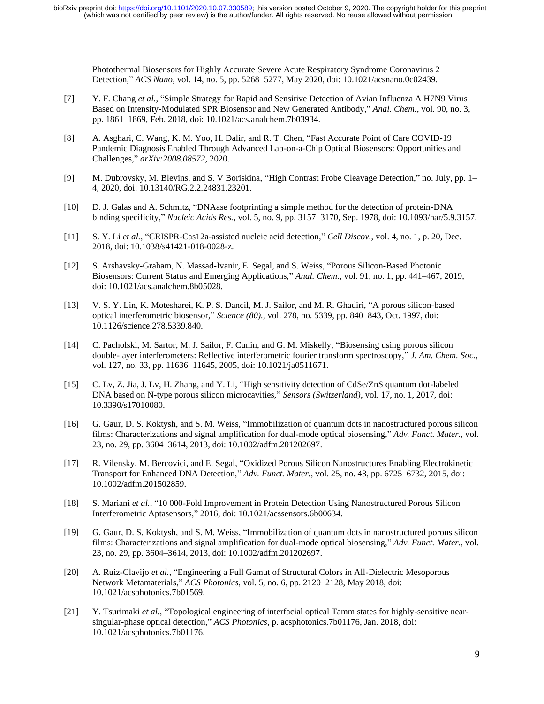Photothermal Biosensors for Highly Accurate Severe Acute Respiratory Syndrome Coronavirus 2 Detection," *ACS Nano*, vol. 14, no. 5, pp. 5268–5277, May 2020, doi: 10.1021/acsnano.0c02439.

- [7] Y. F. Chang *et al.*, "Simple Strategy for Rapid and Sensitive Detection of Avian Influenza A H7N9 Virus Based on Intensity-Modulated SPR Biosensor and New Generated Antibody," *Anal. Chem.*, vol. 90, no. 3, pp. 1861–1869, Feb. 2018, doi: 10.1021/acs.analchem.7b03934.
- [8] A. Asghari, C. Wang, K. M. Yoo, H. Dalir, and R. T. Chen, "Fast Accurate Point of Care COVID-19 Pandemic Diagnosis Enabled Through Advanced Lab-on-a-Chip Optical Biosensors: Opportunities and Challenges," *arXiv:2008.08572*, 2020.
- [9] M. Dubrovsky, M. Blevins, and S. V Boriskina, "High Contrast Probe Cleavage Detection," no. July, pp. 1– 4, 2020, doi: 10.13140/RG.2.2.24831.23201.
- [10] D. J. Galas and A. Schmitz, "DNAase footprinting a simple method for the detection of protein-DNA binding specificity," *Nucleic Acids Res.*, vol. 5, no. 9, pp. 3157–3170, Sep. 1978, doi: 10.1093/nar/5.9.3157.
- [11] S. Y. Li *et al.*, "CRISPR-Cas12a-assisted nucleic acid detection," *Cell Discov.*, vol. 4, no. 1, p. 20, Dec. 2018, doi: 10.1038/s41421-018-0028-z.
- [12] S. Arshavsky-Graham, N. Massad-Ivanir, E. Segal, and S. Weiss, "Porous Silicon-Based Photonic Biosensors: Current Status and Emerging Applications," *Anal. Chem.*, vol. 91, no. 1, pp. 441–467, 2019, doi: 10.1021/acs.analchem.8b05028.
- [13] V. S. Y. Lin, K. Motesharei, K. P. S. Dancil, M. J. Sailor, and M. R. Ghadiri, "A porous silicon-based optical interferometric biosensor," *Science (80).*, vol. 278, no. 5339, pp. 840–843, Oct. 1997, doi: 10.1126/science.278.5339.840.
- [14] C. Pacholski, M. Sartor, M. J. Sailor, F. Cunin, and G. M. Miskelly, "Biosensing using porous silicon double-layer interferometers: Reflective interferometric fourier transform spectroscopy," *J. Am. Chem. Soc.*, vol. 127, no. 33, pp. 11636–11645, 2005, doi: 10.1021/ja0511671.
- [15] C. Lv, Z. Jia, J. Lv, H. Zhang, and Y. Li, "High sensitivity detection of CdSe/ZnS quantum dot-labeled DNA based on N-type porous silicon microcavities," *Sensors (Switzerland)*, vol. 17, no. 1, 2017, doi: 10.3390/s17010080.
- [16] G. Gaur, D. S. Koktysh, and S. M. Weiss, "Immobilization of quantum dots in nanostructured porous silicon films: Characterizations and signal amplification for dual-mode optical biosensing," *Adv. Funct. Mater.*, vol. 23, no. 29, pp. 3604–3614, 2013, doi: 10.1002/adfm.201202697.
- [17] R. Vilensky, M. Bercovici, and E. Segal, "Oxidized Porous Silicon Nanostructures Enabling Electrokinetic Transport for Enhanced DNA Detection," *Adv. Funct. Mater.*, vol. 25, no. 43, pp. 6725–6732, 2015, doi: 10.1002/adfm.201502859.
- [18] S. Mariani *et al.*, "10 000-Fold Improvement in Protein Detection Using Nanostructured Porous Silicon Interferometric Aptasensors," 2016, doi: 10.1021/acssensors.6b00634.
- [19] G. Gaur, D. S. Koktysh, and S. M. Weiss, "Immobilization of quantum dots in nanostructured porous silicon films: Characterizations and signal amplification for dual-mode optical biosensing," *Adv. Funct. Mater.*, vol. 23, no. 29, pp. 3604–3614, 2013, doi: 10.1002/adfm.201202697.
- [20] A. Ruiz-Clavijo *et al.*, "Engineering a Full Gamut of Structural Colors in All-Dielectric Mesoporous Network Metamaterials," *ACS Photonics*, vol. 5, no. 6, pp. 2120–2128, May 2018, doi: 10.1021/acsphotonics.7b01569.
- [21] Y. Tsurimaki *et al.*, "Topological engineering of interfacial optical Tamm states for highly-sensitive nearsingular-phase optical detection," *ACS Photonics*, p. acsphotonics.7b01176, Jan. 2018, doi: 10.1021/acsphotonics.7b01176.